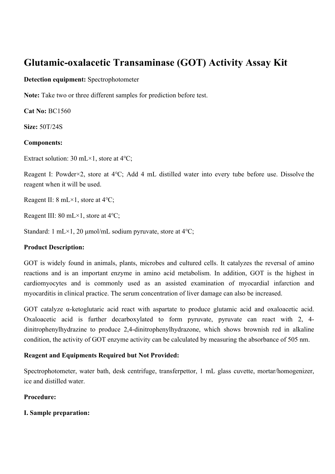# **Glutamic-oxalacetic Transaminase (GOT) Activity Assay Kit**

# **Detection equipment:** Spectrophotometer

**Note:** Take two or three different samples for prediction before test.

**Cat No:** BC1560

**Size:** 50T/24S

# **Components:**

Extract solution: 30 mL×1, store at 4℃;

Reagent I: Powder×2, store at 4℃; Add 4 mL distilled water into every tube before use. Dissolve the reagent when it will be used.

Reagent II: 8 mL×1, store at 4℃;

Reagent III: 80 mL×1, store at 4℃;

Standard: 1 mL×1, 20 μmol/mL sodium pyruvate, store at 4℃;

# **Product Description:**

GOT is widely found in animals, plants, microbes and cultured cells. It catalyzes the reversal of amino reactions and is an important enzyme in amino acid metabolism. In addition, GOT is the highest in cardiomyocytes and is commonly used as an assisted examination of myocardial infarction and myocarditis in clinical practice. The serum concentration of liver damage can also be increased.

GOT catalyze α-ketoglutaric acid react with aspartate to produce glutamic acid and oxaloacetic acid. Oxaloacetic acid is further decarboxylated to form pyruvate, pyruvate can react with 2, 4 dinitrophenylhydrazine to produce 2,4-dinitrophenylhydrazone, which shows brownish red in alkaline condition, the activity of GOT enzyme activity can be calculated by measuring the absorbance of 505 nm.

# **Reagent and Equipments Required but Not Provided:**

Spectrophotometer, water bath, desk centrifuge, transferpettor, 1 mL glass cuvette, mortar/homogenizer, ice and distilled water.

# **Procedure:**

**I. Sample preparation:**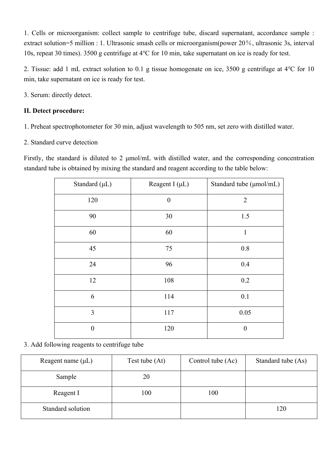1. Cells or microorganism: collect sample to centrifuge tube, discard supernatant, accordance sample : extract solution=5 million : 1. Ultrasonic smash cells or microorganism(power 20%, ultrasonic 3s, interval 10s, repeat 30 times). 3500 g centrifuge at 4℃ for 10 min, take supernatant on ice is ready for test.

2. Tissue: add 1 mL extract solution to 0.1 g tissue homogenate on ice, 3500 g centrifuge at 4℃ for 10 min, take supernatant on ice is ready for test.

3. Serum: directly detect.

# **II. Detect procedure:**

- 1. Preheat spectrophotometer for 30 min, adjust wavelength to 505 nm, set zero with distilled water.
- 2. Standard curve detection

Firstly, the standard is diluted to 2 μmol/mL with distilled water, and the corresponding concentration standard tube is obtained by mixing the standard and reagent according to the table below:

| Standard $(\mu L)$ | Reagent I $(\mu L)$ | Standard tube (µmol/mL) |
|--------------------|---------------------|-------------------------|
| 120                | $\overline{0}$      | $\overline{2}$          |
| 90                 | 30                  | 1.5                     |
| 60                 | 60                  | $\mathbf{1}$            |
| 45                 | 75                  | 0.8                     |
| 24                 | 96                  | 0.4                     |
| 12                 | 108                 | 0.2                     |
| 6                  | 114                 | 0.1                     |
| 3                  | 117                 | 0.05                    |
| $\boldsymbol{0}$   | 120                 | $\boldsymbol{0}$        |

3. Add following reagents to centrifuge tube

| Reagent name $(\mu L)$ | Test tube (At) | Control tube (Ac) | Standard tube (As) |
|------------------------|----------------|-------------------|--------------------|
| Sample                 | 20             |                   |                    |
| Reagent I              | 100            | 100               |                    |
| Standard solution      |                |                   | 120                |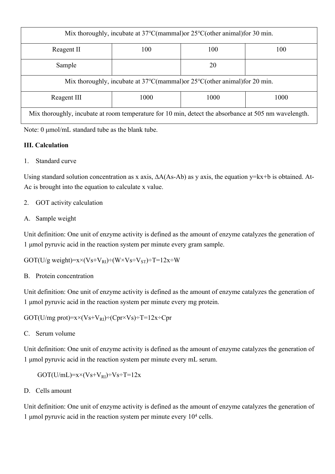| Mix thoroughly, incubate at $37^{\circ}$ C(mammal) or $25^{\circ}$ C(other animal) for 30 min.       |      |      |      |
|------------------------------------------------------------------------------------------------------|------|------|------|
| Reagent II                                                                                           | 100  | 100  | 100  |
| Sample                                                                                               |      | 20   |      |
| Mix thoroughly, incubate at $37^{\circ}$ C(mammal)or $25^{\circ}$ C(other animal)for 20 min.         |      |      |      |
| Reagent III                                                                                          | 1000 | 1000 | 1000 |
| Mix thoroughly, incubate at room temperature for 10 min, detect the absorbance at 505 nm wavelength. |      |      |      |

Note: 0 μmol/mL standard tube as the blank tube.

# **III. Calculation**

1. Standard curve

Using standard solution concentration as x axis, ∆A(As-Ab) as y axis, the equation y=kx+b is obtained. At-Ac is brought into the equation to calculate x value.

- 2. GOT activity calculation
- A. Sample weight

Unit definition: One unit of enzyme activity is defined as the amount of enzyme catalyzes the generation of 1 μmol pyruvic acid in the reaction system per minute every gram sample.

GOT(U/g weight)= $x \times (V_s + V_{RI}) \div (W \times V_s + V_{ST}) \div T = 12x \div W$ 

B. Protein concentration

Unit definition: One unit of enzyme activity is defined as the amount of enzyme catalyzes the generation of 1 μmol pyruvic acid in the reaction system per minute every mg protein.

GOT(U/mg prot)= $x \times (V_s + V_{RI}) \div (Cpr \times V_s) \div T = 12x \div Cpr$ 

C. Serum volume

Unit definition: One unit of enzyme activity is defined as the amount of enzyme catalyzes the generation of 1 μmol pyruvic acid in the reaction system per minute every mL serum.

 $GOT(U/mL)=x\times (Vs+V_{RI})+Vs+T=12x$ 

D. Cells amount

Unit definition: One unit of enzyme activity is defined as the amount of enzyme catalyzes the generation of 1 µmol pyruvic acid in the reaction system per minute every  $10<sup>4</sup>$  cells.